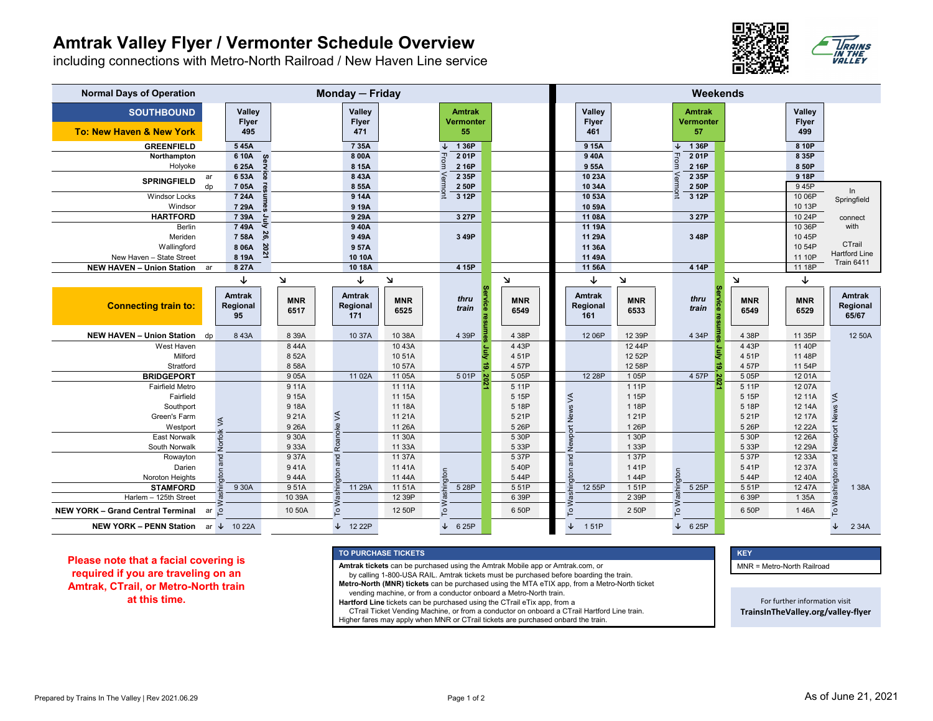## **Amtrak Valley Flyer / Vermonter Schedule Overview**

including connections with Metro-North Railroad / New Haven Line service



| <b>Normal Days of Operation</b>          | Monday - Friday |                                 |                       |                    |                                  |                    |                                   | Weekends           |                                  |                    |                            |                          |                        |                                    |
|------------------------------------------|-----------------|---------------------------------|-----------------------|--------------------|----------------------------------|--------------------|-----------------------------------|--------------------|----------------------------------|--------------------|----------------------------|--------------------------|------------------------|------------------------------------|
| <b>SOUTHBOUND</b>                        |                 | Valley<br><b>Flyer</b>          |                       |                    | Valley<br><b>Flyer</b>           |                    | <b>Amtrak</b><br><b>Vermonter</b> |                    | Valley<br><b>Flyer</b>           |                    | <b>Amtrak</b><br>Vermonter |                          | Valley<br><b>Flyer</b> |                                    |
| To: New Haven & New York                 |                 | 495                             |                       |                    | 471                              |                    | 55                                |                    | 461                              |                    | 57                         |                          | 499                    |                                    |
| <b>GREENFIELD</b>                        |                 | 545A                            |                       |                    | 7 3 5 A                          |                    | 136P                              |                    | 915A                             |                    | 1 36P                      |                          | 8 10P                  |                                    |
| Northampton                              |                 | 6 10A                           | $\boldsymbol{\omega}$ |                    | 8 00A                            |                    | 201P                              |                    | 940A                             |                    | 201P<br>Hrom               |                          | 8 35P                  |                                    |
| Holyoke                                  |                 | 6 25A                           |                       |                    | 8 15A                            |                    | ∍<br>2 16P                        |                    | 9 55A                            |                    | 2 16P                      |                          | 8 50P                  |                                    |
| <b>SPRINGFIELD</b>                       | ar              | 6 53A                           |                       |                    | 8 43A                            |                    | 2 35P                             |                    | 10 23A                           |                    | 2 35P                      |                          | 918P                   |                                    |
|                                          | $d_{D}$         | 705A<br>7 24A                   |                       |                    | 8 55A                            |                    | 2 50P<br>3 12P                    |                    | 10 34A                           |                    | 2 50P<br>3 12P             |                          | 945P<br>10 06P         | In                                 |
| <b>Windsor Locks</b><br>Windsor          |                 | 7 29A                           |                       |                    | 9 14A<br>9 19A                   |                    |                                   |                    | 10 53A<br>10 59A                 |                    |                            |                          | 10 13P                 | Springfield                        |
| <b>HARTFORD</b>                          |                 | 7 39A                           |                       |                    | 9 29A                            |                    | 3 27P                             |                    | 11 08A                           |                    | 3 27P                      |                          | 10 24P                 |                                    |
| <b>Berlin</b>                            |                 | 749A                            |                       |                    | 940A                             |                    |                                   |                    | 11 19A                           |                    |                            |                          | 10 36P                 | connect<br>with                    |
| Meriden                                  |                 | 7 58A                           |                       |                    | 949A                             |                    | 3 49P                             |                    | 11 29A                           |                    | 3 48P                      |                          | 10 45P                 |                                    |
| Wallingford                              |                 | 8 06A                           |                       |                    | 957A                             |                    |                                   |                    | 11 36A                           |                    |                            |                          | 10 54P                 | CTrail                             |
| New Haven - State Street                 |                 | 8 19A                           |                       |                    | 10 10A                           |                    |                                   |                    | 11 49A                           |                    |                            |                          | 11 10P                 | <b>Hartford Line</b>               |
| NEW HAVEN - Union Station ar             |                 | 8 27A                           |                       |                    | 10 18A                           |                    | 4 15P                             |                    | 11 56A                           |                    | 4 14P                      |                          | 11 18P                 | <b>Train 6411</b>                  |
|                                          |                 | ↓                               |                       | Л                  | ↓                                | $\mathbf{v}$       |                                   | $\mathbf{v}$       | ↓                                | N                  |                            | $\mathbf{\underline{M}}$ | ↓                      |                                    |
| <b>Connecting train to:</b>              |                 | <b>Amtrak</b><br>Regional<br>95 |                       | <b>MNR</b><br>6517 | <b>Amtrak</b><br>Regional<br>171 | <b>MNR</b><br>6525 | thru<br>8<br>train                | <b>MNR</b><br>6549 | <b>Amtrak</b><br>Regional<br>161 | <b>MNR</b><br>6533 | thru<br>train              | <b>MNR</b><br>6549       | <b>MNR</b><br>6529     | <b>Amtrak</b><br>Regional<br>65/67 |
| NEW HAVEN - Union Station dp             |                 | 843A                            |                       | 8 3 9 A            | 10 37A                           | 10 38A             | 4 39P                             | 4 38P              | 12 06P                           | 12 39P             | 4 34P                      | 4 38P                    | 11 35P                 | 12 50A                             |
| West Haven                               |                 |                                 |                       | 844A               |                                  | 10 43A             |                                   | 4 4 3 P            |                                  | 12 44P             |                            | 4 4 3 P                  | 11 40P                 |                                    |
| Milford                                  |                 |                                 |                       | 8 52A              |                                  | 1051A              |                                   | 451P               |                                  | 12 52P             |                            | 4 51P                    | 11 48P                 |                                    |
| Stratford                                |                 |                                 |                       | 858A               |                                  | 10 57A             | 궁                                 | 4 57P              |                                  | 12 58P             |                            | 4 57P                    | 11 54P                 |                                    |
| <b>BRIDGEPORT</b>                        |                 |                                 |                       | 905A               | 11 02A                           | 11 05A             | 501P<br><b>S</b>                  | 505P               | 12 28P                           | 1 05P              | 4 57P<br>$\overline{8}$    | 5 05P                    | 1201A                  |                                    |
| <b>Fairfield Metro</b>                   |                 |                                 |                       | 911A               |                                  | 11 11A             |                                   | 5 11P              |                                  | 1 1 1 P            |                            | 511P                     | 12 07A                 |                                    |
| Fairfield                                |                 |                                 |                       | 9 15A              |                                  | 11 15A             |                                   | 5 15P              |                                  | 1 15P              |                            | 5 15P                    | 12 11A                 |                                    |
| Southport                                |                 |                                 |                       | 9 18A              |                                  | 11 18A             |                                   | 5 18P              |                                  | 1 18P              |                            | 5 18P                    | 12 14A                 |                                    |
| Green's Farm                             |                 | $\leq$                          |                       | 921A               | ke VA                            | 11 21 A            |                                   | 521P               | <b>Newport News VA</b>           | 1 21P              |                            | 5 21P                    | 12 17A                 | Newport News VA                    |
| Westport                                 |                 |                                 |                       | 9 26A              |                                  | 11 26A<br>11 30A   |                                   | 5 26P              |                                  | 1 26P<br>1 30P     |                            | 5 26P                    | 12 22A                 |                                    |
| <b>East Norwalk</b><br>South Norwalk     |                 | Norfolk                         |                       | 9 30A<br>933A      | Roan                             | 11 33A             |                                   | 5 30P<br>5 33P     |                                  | 1 33P              |                            | 5 30P<br>5 33P           | 12 26A<br>12 29A       |                                    |
| Rowayton                                 |                 |                                 |                       | 937A               |                                  | 11 37A             |                                   | 537P               |                                  | 137P               |                            | 5 37P                    | 12 33A                 |                                    |
| Darien                                   |                 | and                             |                       | 941A               | and                              | 1141A              |                                   | 540P               | and                              | 141P               |                            | 541P                     | 12 37A                 |                                    |
| Noroton Heights                          |                 | $\overline{5}$                  |                       | 944A               | $\overline{a}$                   | 11 44A             | <b>S</b>                          | 544P               | $\overline{5}$                   | 144P               | $\epsilon$                 | 544P                     | 12 40A                 |                                    |
| <b>STAMFORD</b>                          |                 | 9 30A                           |                       | 951A               | 11 29A                           | 11 51A             | 5 28P                             | 551P               | 12 55P                           | 151P               | 5 25P                      | 5 51P                    | 12 47A                 | <b>Nashington and</b><br>1 3 8 A   |
| Harlem - 125th Street                    |                 |                                 |                       | 10 39A             |                                  | 12 39P             |                                   | 6 39P              |                                  | 2 39P              |                            | 6 39P                    | 1 35A                  |                                    |
| <b>NEW YORK - Grand Central Terminal</b> | ar o            |                                 |                       | 10 50A             | $\circ$                          | 12 50P             | $\circ$                           | 650P               | $\circ$                          | 2 50P              | $\circ$                    | 6 50P                    | 146A                   | 으                                  |
| NEW YORK - PENN Station ar ↓ 10 22A      |                 |                                 |                       |                    | $\downarrow$ 12 22P              |                    | 6 25P<br>↓                        |                    | 151P                             |                    | 6 25P<br>↓                 |                          |                        | 2 34A                              |

**Please note that a facial covering is required if you are traveling on an Amtrak, CTrail, or Metro-North train at this time.** 

## **TO PURCHASE TICKETS**

**Amtrak tickets** can be purchased using the Amtrak Mobile app or Amtrak.com, or

by calling 1-800-USA RAIL. Amtrak tickets must be purchased before boarding the train.

**Metro-North (MNR) tickets** can be purchased using the MTA eTIX app, from a Metro-North ticket

vending machine, or from a conductor onboard a Metro-North train.

**Hartford Line** tickets can be purchased using the CTrail eTix app, from a CTrail Ticket Vending Machine, or from a conductor on onboard a CTrail Hartford Line train.

Higher fares may apply when MNR or CTrail tickets are purchased onbard the train.

**S** And the second contract of the second contract of the second contract of the second contract  $\mathsf{KEY}$ MNR = Metro-North Railroad

> For further information visit **TrainsInTheValley.org/valley‐flyer**